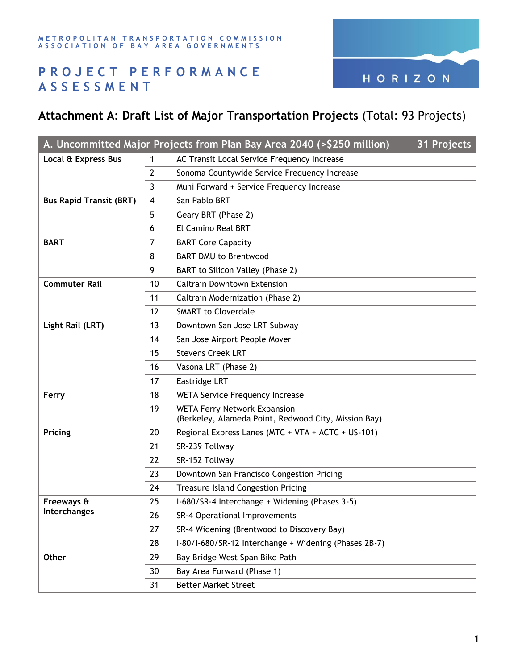

## **P R O J E C T P E R F O R M A N C E A S S E S S M E N T**

## **Attachment A: Draft List of Major Transportation Projects** (Total: 93 Projects)

| A. Uncommitted Major Projects from Plan Bay Area 2040 (>\$250 million)<br>31 Projects |    |                                                                                             |  |  |  |
|---------------------------------------------------------------------------------------|----|---------------------------------------------------------------------------------------------|--|--|--|
| Local & Express Bus                                                                   | 1  | AC Transit Local Service Frequency Increase                                                 |  |  |  |
|                                                                                       | 2  | Sonoma Countywide Service Frequency Increase                                                |  |  |  |
|                                                                                       | 3  | Muni Forward + Service Frequency Increase                                                   |  |  |  |
| <b>Bus Rapid Transit (BRT)</b>                                                        | 4  | San Pablo BRT                                                                               |  |  |  |
|                                                                                       | 5  | Geary BRT (Phase 2)                                                                         |  |  |  |
|                                                                                       | 6  | El Camino Real BRT                                                                          |  |  |  |
| <b>BART</b>                                                                           | 7  | <b>BART Core Capacity</b>                                                                   |  |  |  |
|                                                                                       | 8  | <b>BART DMU to Brentwood</b>                                                                |  |  |  |
|                                                                                       | 9  | BART to Silicon Valley (Phase 2)                                                            |  |  |  |
| <b>Commuter Rail</b>                                                                  | 10 | <b>Caltrain Downtown Extension</b>                                                          |  |  |  |
|                                                                                       | 11 | Caltrain Modernization (Phase 2)                                                            |  |  |  |
|                                                                                       | 12 | <b>SMART to Cloverdale</b>                                                                  |  |  |  |
| Light Rail (LRT)                                                                      | 13 | Downtown San Jose LRT Subway                                                                |  |  |  |
|                                                                                       | 14 | San Jose Airport People Mover                                                               |  |  |  |
|                                                                                       | 15 | <b>Stevens Creek LRT</b>                                                                    |  |  |  |
|                                                                                       | 16 | Vasona LRT (Phase 2)                                                                        |  |  |  |
|                                                                                       | 17 | Eastridge LRT                                                                               |  |  |  |
| Ferry                                                                                 | 18 | <b>WETA Service Frequency Increase</b>                                                      |  |  |  |
|                                                                                       | 19 | <b>WETA Ferry Network Expansion</b><br>(Berkeley, Alameda Point, Redwood City, Mission Bay) |  |  |  |
| Pricing                                                                               | 20 | Regional Express Lanes (MTC + VTA + ACTC + US-101)                                          |  |  |  |
|                                                                                       | 21 | SR-239 Tollway                                                                              |  |  |  |
|                                                                                       | 22 | SR-152 Tollway                                                                              |  |  |  |
|                                                                                       | 23 | Downtown San Francisco Congestion Pricing                                                   |  |  |  |
|                                                                                       | 24 | <b>Treasure Island Congestion Pricing</b>                                                   |  |  |  |
| Freeways &                                                                            | 25 | I-680/SR-4 Interchange + Widening (Phases 3-5)                                              |  |  |  |
| Interchanges                                                                          | 26 | SR-4 Operational Improvements                                                               |  |  |  |
|                                                                                       | 27 | SR-4 Widening (Brentwood to Discovery Bay)                                                  |  |  |  |
|                                                                                       | 28 | I-80/I-680/SR-12 Interchange + Widening (Phases 2B-7)                                       |  |  |  |
| Other                                                                                 | 29 | Bay Bridge West Span Bike Path                                                              |  |  |  |
|                                                                                       | 30 | Bay Area Forward (Phase 1)                                                                  |  |  |  |
|                                                                                       | 31 | <b>Better Market Street</b>                                                                 |  |  |  |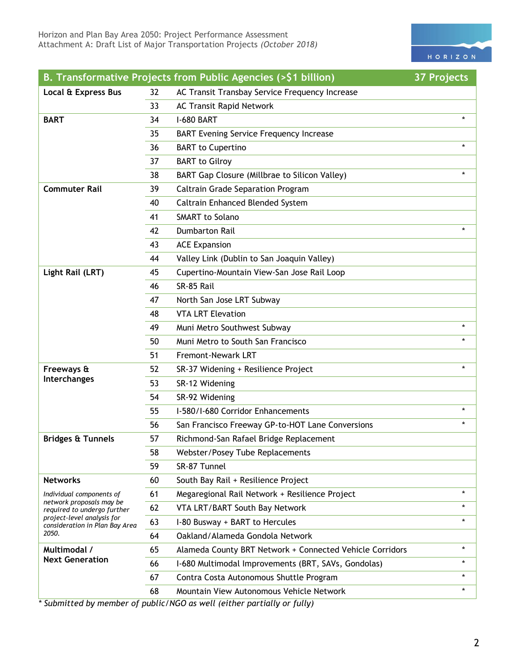

|                                                              |    | B. Transformative Projects from Public Agencies (>\$1 billion) | <b>37 Projects</b> |
|--------------------------------------------------------------|----|----------------------------------------------------------------|--------------------|
| Local & Express Bus                                          | 32 | AC Transit Transbay Service Frequency Increase                 |                    |
|                                                              | 33 | <b>AC Transit Rapid Network</b>                                |                    |
| <b>BART</b>                                                  | 34 | <b>I-680 BART</b>                                              | $\star$            |
|                                                              | 35 | <b>BART Evening Service Frequency Increase</b>                 |                    |
|                                                              | 36 | <b>BART</b> to Cupertino                                       |                    |
|                                                              | 37 | <b>BART</b> to Gilroy                                          |                    |
|                                                              | 38 | BART Gap Closure (Millbrae to Silicon Valley)                  |                    |
| <b>Commuter Rail</b>                                         | 39 | <b>Caltrain Grade Separation Program</b>                       |                    |
|                                                              | 40 | Caltrain Enhanced Blended System                               |                    |
|                                                              | 41 | <b>SMART</b> to Solano                                         |                    |
|                                                              | 42 | <b>Dumbarton Rail</b>                                          |                    |
|                                                              | 43 | <b>ACE Expansion</b>                                           |                    |
|                                                              | 44 | Valley Link (Dublin to San Joaquin Valley)                     |                    |
| Light Rail (LRT)                                             | 45 | Cupertino-Mountain View-San Jose Rail Loop                     |                    |
|                                                              | 46 | SR-85 Rail                                                     |                    |
|                                                              | 47 | North San Jose LRT Subway                                      |                    |
|                                                              | 48 | <b>VTA LRT Elevation</b>                                       |                    |
|                                                              | 49 | Muni Metro Southwest Subway                                    | $\star$            |
|                                                              | 50 | Muni Metro to South San Francisco                              |                    |
|                                                              | 51 | <b>Fremont-Newark LRT</b>                                      |                    |
| Freeways &                                                   | 52 | SR-37 Widening + Resilience Project                            |                    |
| Interchanges                                                 | 53 | SR-12 Widening                                                 |                    |
|                                                              | 54 | SR-92 Widening                                                 |                    |
|                                                              | 55 | I-580/I-680 Corridor Enhancements                              | $\star$            |
|                                                              | 56 | San Francisco Freeway GP-to-HOT Lane Conversions               | $\star$            |
| <b>Bridges &amp; Tunnels</b>                                 | 57 | Richmond-San Rafael Bridge Replacement                         |                    |
|                                                              | 58 | Webster/Posey Tube Replacements                                |                    |
|                                                              | 59 | SR-87 Tunnel                                                   |                    |
| <b>Networks</b>                                              | 60 | South Bay Rail + Resilience Project                            |                    |
| Individual components of                                     | 61 | Megaregional Rail Network + Resilience Project                 | $\star$            |
| network proposals may be<br>required to undergo further      | 62 | VTA LRT/BART South Bay Network                                 | $\star$            |
| project-level analysis for<br>consideration in Plan Bay Area | 63 | I-80 Busway + BART to Hercules                                 | $\star$            |
| 2050.                                                        | 64 | Oakland/Alameda Gondola Network                                |                    |
| Multimodal /<br><b>Next Generation</b>                       | 65 | Alameda County BRT Network + Connected Vehicle Corridors       | $\star$            |
|                                                              | 66 | I-680 Multimodal Improvements (BRT, SAVs, Gondolas)            | $\star$            |
|                                                              | 67 | Contra Costa Autonomous Shuttle Program                        | $\star$            |
|                                                              | 68 | Mountain View Autonomous Vehicle Network                       | $\star$            |

*\* Submitted by member of public/NGO as well (either partially or fully)*